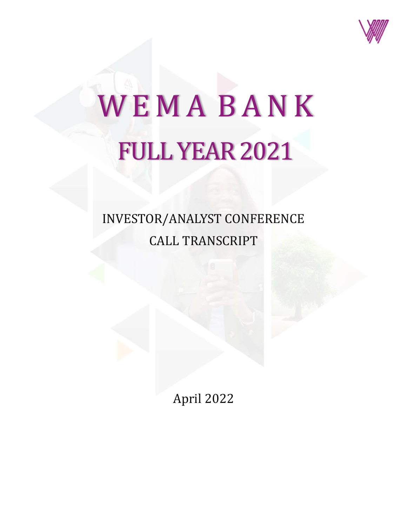

## WEMA BANK FULL YEAR 2021

## INVESTOR/ANALYST CONFERENCE CALL TRANSCRIPT

April 2022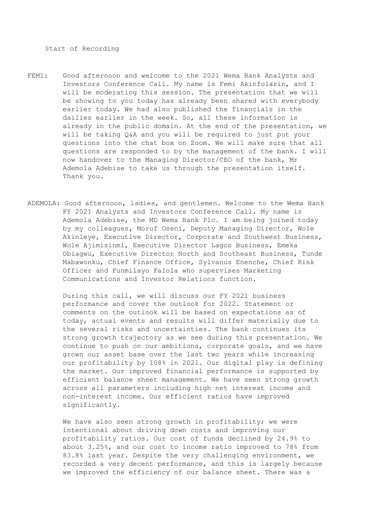Start of Recording

- FEMI: Good afternoon and welcome to the 2021 Wema Bank Analysts and Investors Conference Call. My name is Femi Akinfolarin, and I will be moderating this session. The presentation that we will be showing to you today has already been shared with everybody earlier today. We had also published the financials in the dailies earlier in the week. So, all these information is already in the public domain. At the end of the presentation, we will be taking Q&A and you will be required to just put your questions into the chat box on Zoom. We will make sure that all questions are responded to by the management of the bank. I will now handover to the Managing Director/CEO of the bank, Mr Ademola Adebise to take us through the presentation itself. Thank you.
- ADEMOLA: Good afternoon, ladies, and gentlemen. Welcome to the Wema Bank FY 2021 Analysts and Investors Conference Call. My name is Ademola Adebise, the MD Wema Bank Plc. I am being joined today by my colleagues, Moruf Oseni, Deputy Managing Director, Wole Akinleye, Executive Director, Corporate and Southwest Business, Wole Ajimisinmi, Executive Director Lagos Business, Emeka Obiagwu, Executive Director North and Southeast Business, Tunde Mabawonku, Chief Finance Office, Sylvanus Enenche, Chief Risk Officer and Funmilayo Falola who supervises Marketing Communications and Investor Relations function.

During this call, we will discuss our FY 2021 business performance and cover the outlook for 2022. Statement or comments on the outlook will be based on expectations as of today, actual events and results will differ materially due to the several risks and uncertainties. The bank continues its strong growth trajectory as we see during this presentation. We continue to push on our ambitions, corporate goals, and we have grown our asset base over the last two years while increasing our profitability by 108% in 2021. Our digital play is defining the market. Our improved financial performance is supported by efficient balance sheet management. We have seen strong growth across all parameters including high net interest income and non-interest income. Our efficient ratios have improved significantly.

We have also seen strong growth in profitability; we were intentional about driving down costs and improving our profitability ratios. Our cost of funds declined by 24.9% to about 3.25%, and our cost to income ratio improved to 78% from 83.8% last year. Despite the very challenging environment, we recorded a very decent performance, and this is largely because we improved the efficiency of our balance sheet. There was a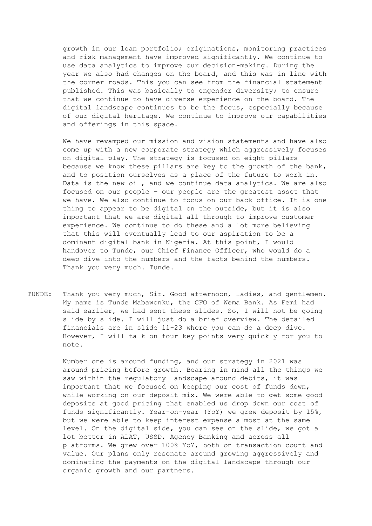growth in our loan portfolio; originations, monitoring practices and risk management have improved significantly. We continue to use data analytics to improve our decision-making. During the year we also had changes on the board, and this was in line with the corner roads. This you can see from the financial statement published. This was basically to engender diversity; to ensure that we continue to have diverse experience on the board. The digital landscape continues to be the focus, especially because of our digital heritage. We continue to improve our capabilities and offerings in this space.

We have revamped our mission and vision statements and have also come up with a new corporate strategy which aggressively focuses on digital play. The strategy is focused on eight pillars because we know these pillars are key to the growth of the bank, and to position ourselves as a place of the future to work in. Data is the new oil, and we continue data analytics. We are also focused on our people – our people are the greatest asset that we have. We also continue to focus on our back office. It is one thing to appear to be digital on the outside, but it is also important that we are digital all through to improve customer experience. We continue to do these and a lot more believing that this will eventually lead to our aspiration to be a dominant digital bank in Nigeria. At this point, I would handover to Tunde, our Chief Finance Officer, who would do a deep dive into the numbers and the facts behind the numbers. Thank you very much. Tunde.

TUNDE: Thank you very much, Sir. Good afternoon, ladies, and gentlemen. My name is Tunde Mabawonku, the CFO of Wema Bank. As Femi had said earlier, we had sent these slides. So, I will not be going slide by slide. I will just do a brief overview. The detailed financials are in slide 11-23 where you can do a deep dive. However, I will talk on four key points very quickly for you to note.

> Number one is around funding, and our strategy in 2021 was around pricing before growth. Bearing in mind all the things we saw within the regulatory landscape around debits, it was important that we focused on keeping our cost of funds down, while working on our deposit mix. We were able to get some good deposits at good pricing that enabled us drop down our cost of funds significantly. Year-on-year (YoY) we grew deposit by 15%, but we were able to keep interest expense almost at the same level. On the digital side, you can see on the slide, we got a lot better in ALAT, USSD, Agency Banking and across all platforms. We grew over 100% YoY, both on transaction count and value. Our plans only resonate around growing aggressively and dominating the payments on the digital landscape through our organic growth and our partners.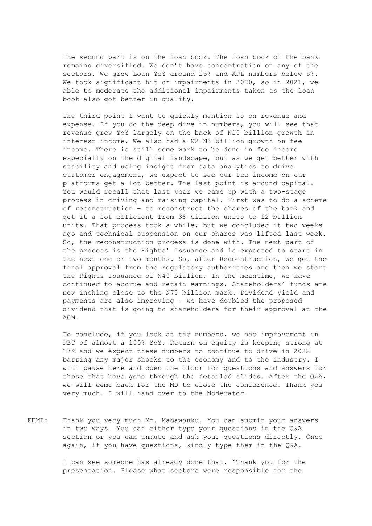The second part is on the loan book. The loan book of the bank remains diversified. We don't have concentration on any of the sectors. We grew Loan YoY around 15% and APL numbers below 5%. We took significant hit on impairments in 2020, so in 2021, we able to moderate the additional impairments taken as the loan book also got better in quality.

The third point I want to quickly mention is on revenue and expense. If you do the deep dive in numbers, you will see that revenue grew YoY largely on the back of N10 billion growth in interest income. We also had a N2-N3 billion growth on fee income. There is still some work to be done in fee income especially on the digital landscape, but as we get better with stability and using insight from data analytics to drive customer engagement, we expect to see our fee income on our platforms get a lot better. The last point is around capital. You would recall that last year we came up with a two-stage process in driving and raising capital. First was to do a scheme of reconstruction – to reconstruct the shares of the bank and get it a lot efficient from 38 billion units to 12 billion units. That process took a while, but we concluded it two weeks ago and technical suspension on our shares was lifted last week. So, the reconstruction process is done with. The next part of the process is the Rights' Issuance and is expected to start in the next one or two months. So, after Reconstruction, we get the final approval from the regulatory authorities and then we start the Rights Issuance of N40 billion. In the meantime, we have continued to accrue and retain earnings. Shareholders' funds are now inching close to the N70 billion mark. Dividend yield and payments are also improving – we have doubled the proposed dividend that is going to shareholders for their approval at the AGM.

To conclude, if you look at the numbers, we had improvement in PBT of almost a 100% YoY. Return on equity is keeping strong at 17% and we expect these numbers to continue to drive in 2022 barring any major shocks to the economy and to the industry. I will pause here and open the floor for questions and answers for those that have gone through the detailed slides. After the  $Q\&A$ , we will come back for the MD to close the conference. Thank you very much. I will hand over to the Moderator.

FEMI: Thank you very much Mr. Mabawonku. You can submit your answers in two ways. You can either type your questions in the Q&A section or you can unmute and ask your questions directly. Once again, if you have questions, kindly type them in the Q&A.

> I can see someone has already done that. "Thank you for the presentation. Please what sectors were responsible for the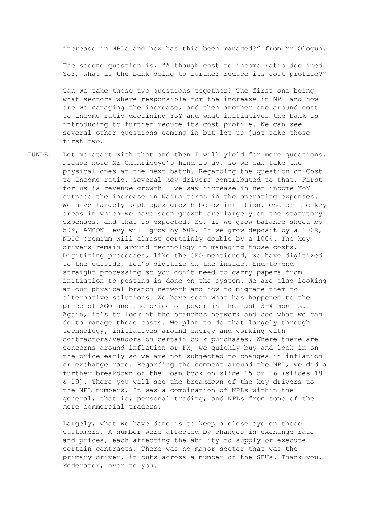increase in NPLs and how has this been managed?" from Mr Ologun.

The second question is, "Although cost to income ratio declined YoY, what is the bank doing to further reduce its cost profile?"

Can we take those two questions together? The first one being what sectors where responsible for the increase in NPL and how are we managing the increase, and then another one around cost to income ratio declining YoY and what initiatives the bank is introducing to further reduce its cost profile. We can see several other questions coming in but let us just take those first two.

TUNDE: Let me start with that and then I will yield for more questions. Please note Mr Okunriboye's hand is up, so we can take the physical ones at the next batch. Regarding the question on Cost to Income ratio, several key drivers contributed to that. First for us is revenue growth – we saw increase in net income YoY outpace the increase in Naira terms in the operating expenses. We have largely kept opex growth below inflation. One of the key areas in which we have seen growth are largely on the statutory expenses, and that is expected. So, if we grow balance sheet by 50%, AMCON levy will grow by 50%. If we grow deposit by a 100%, NDIC premium will almost certainly double by a 100%. The key drivers remain around technology in managing those costs. Digitizing processes, like the CEO mentioned, we have digitized to the outside, let's digitize on the inside. End-to-end straight processing so you don't need to carry papers from initiation to posting is done on the system. We are also looking at our physical branch network and how to migrate them to alternative solutions. We have seen what has happened to the price of AGO and the price of power in the last 3-4 months. Again, it's to look at the branches network and see what we can do to manage those costs. We plan to do that largely through technology, initiatives around energy and working with contractors/vendors on certain bulk purchases. Where there are concerns around inflation or FX, we quickly buy and lock in on the price early so we are not subjected to changes in inflation or exchange rate. Regarding the comment around the NPL, we did a further breakdown of the loan book on slide 15 or 16 (slides 18 & 19). There you will see the breakdown of the key drivers to the NPL numbers. It was a combination of NPLs within the general, that is, personal trading, and NPLs from some of the more commercial traders.

> Largely, what we have done is to keep a close eye on those customers. A number were affected by changes in exchange rate and prices, each affecting the ability to supply or execute certain contracts. There was no major sector that was the primary driver, it cuts across a number of the SBUs. Thank you. Moderator, over to you.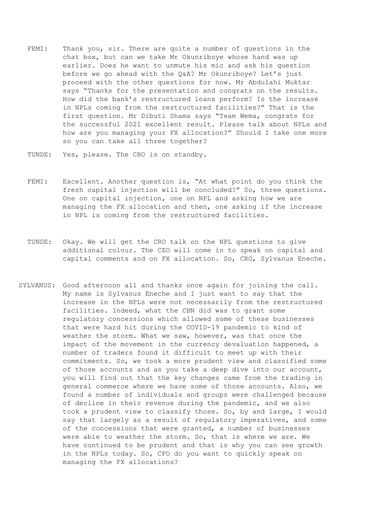- FEMI: Thank you, sir. There are quite a number of questions in the chat box, but can we take Mr Okunriboye whose hand was up earlier. Does he want to unmute his mic and ask his question before we go ahead with the Q&A? Mr Okunriboye? Let's just proceed with the other questions for now. Mr Abdulahi Muktar says "Thanks for the presentation and congrats on the results. How did the bank's restructured loans perform? Is the increase in NPLs coming from the restructured facilities?" That is the first question. Mr Dibuti Shama says "Team Wema, congrats for the successful 2021 excellent result. Please talk about NPLs and how are you managing your FX allocation?" Should I take one more so you can take all three together?
- TUNDE: Yes, please. The CRO is on standby.
- FEMI: Excellent. Another question is, "At what point do you think the fresh capital injection will be concluded?" So, three questions. One on capital injection, one on NPL and asking how we are managing the FX allocation and then, one asking if the increase in NPL is coming from the restructured facilities.
- TUNDE: Okay. We will get the CRO talk on the NPL questions to give additional colour. The CEO will come in to speak on capital and capital comments and on FX allocation. So, CRO, Sylvanus Eneche.
- SYLVANUS: Good afternoon all and thanks once again for joining the call. My name is Sylvanus Eneche and I just want to say that the increase in the NPLs were not necessarily from the restructured facilities. Indeed, what the CBN did was to grant some regulatory concessions which allowed some of these businesses that were hard hit during the COVID-19 pandemic to kind of weather the storm. What we saw, however, was that once the impact of the movement in the currency devaluation happened, a number of traders found it difficult to meet up with their commitments. So, we took a more prudent view and classified some of those accounts and as you take a deep dive into our account, you will find out that the key changes came from the trading in general commerce where we have some of those accounts. Also, we found a number of individuals and groups were challenged because of decline in their revenue during the pandemic, and we also took a prudent view to classify those. So, by and large, I would say that largely as a result of regulatory imperatives, and some of the concessions that were granted, a number of businesses were able to weather the storm. So, that is where we are. We have continued to be prudent and that is why you can see growth in the NPLs today. So, CFO do you want to quickly speak on managing the FX allocations?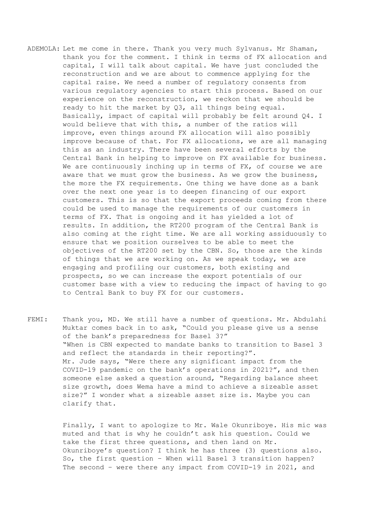- ADEMOLA: Let me come in there. Thank you very much Sylvanus. Mr Shaman, thank you for the comment. I think in terms of FX allocation and capital, I will talk about capital. We have just concluded the reconstruction and we are about to commence applying for the capital raise. We need a number of regulatory consents from various regulatory agencies to start this process. Based on our experience on the reconstruction, we reckon that we should be ready to hit the market by Q3, all things being equal. Basically, impact of capital will probably be felt around Q4. I would believe that with this, a number of the ratios will improve, even things around FX allocation will also possibly improve because of that. For FX allocations, we are all managing this as an industry. There have been several efforts by the Central Bank in helping to improve on FX available for business. We are continuously inching up in terms of FX, of course we are aware that we must grow the business. As we grow the business, the more the FX requirements. One thing we have done as a bank over the next one year is to deepen financing of our export customers. This is so that the export proceeds coming from there could be used to manage the requirements of our customers in terms of FX. That is ongoing and it has yielded a lot of results. In addition, the RT200 program of the Central Bank is also coming at the right time. We are all working assiduously to ensure that we position ourselves to be able to meet the objectives of the RT200 set by the CBN. So, those are the kinds of things that we are working on. As we speak today, we are engaging and profiling our customers, both existing and prospects, so we can increase the export potentials of our customer base with a view to reducing the impact of having to go to Central Bank to buy FX for our customers.
- FEMI: Thank you, MD. We still have a number of questions. Mr. Abdulahi Muktar comes back in to ask, "Could you please give us a sense of the bank's preparedness for Basel 3?" "When is CBN expected to mandate banks to transition to Basel 3 and reflect the standards in their reporting?". Mr. Jude says, "Were there any significant impact from the COVID-19 pandemic on the bank's operations in 2021?", and then someone else asked a question around, "Regarding balance sheet size growth, does Wema have a mind to achieve a sizeable asset size?" I wonder what a sizeable asset size is. Maybe you can clarify that.

Finally, I want to apologize to Mr. Wale Okunriboye. His mic was muted and that is why he couldn't ask his question. Could we take the first three questions, and then land on Mr. Okunriboye's question? I think he has three (3) questions also. So, the first question – When will Basel 3 transition happen? The second – were there any impact from COVID-19 in 2021, and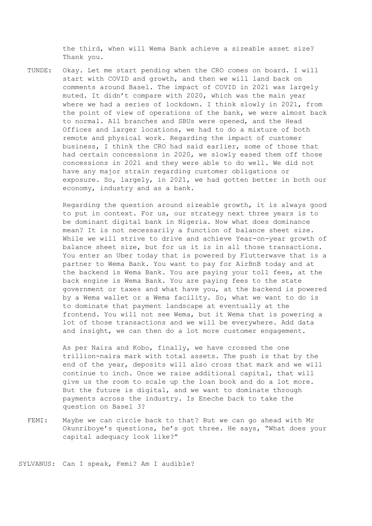the third, when will Wema Bank achieve a sizeable asset size? Thank you.

TUNDE: Okay. Let me start pending when the CRO comes on board. I will start with COVID and growth, and then we will land back on comments around Basel. The impact of COVID in 2021 was largely muted. It didn't compare with 2020, which was the main year where we had a series of lockdown. I think slowly in 2021, from the point of view of operations of the bank, we were almost back to normal. All branches and SBUs were opened, and the Head Offices and larger locations, we had to do a mixture of both remote and physical work. Regarding the impact of customer business, I think the CRO had said earlier, some of those that had certain concessions in 2020, we slowly eased them off those concessions in 2021 and they were able to do well. We did not have any major strain regarding customer obligations or exposure. So, largely, in 2021, we had gotten better in both our economy, industry and as a bank.

> Regarding the question around sizeable growth, it is always good to put in context. For us, our strategy next three years is to be dominant digital bank in Nigeria. Now what does dominance mean? It is not necessarily a function of balance sheet size. While we will strive to drive and achieve Year-on-year growth of balance sheet size, but for us it is in all those transactions. You enter an Uber today that is powered by Flutterwave that is a partner to Wema Bank. You want to pay for AirBnB today and at the backend is Wema Bank. You are paying your toll fees, at the back engine is Wema Bank. You are paying fees to the state government or taxes and what have you, at the backend is powered by a Wema wallet or a Wema facility. So, what we want to do is to dominate that payment landscape at eventually at the frontend. You will not see Wema, but it Wema that is powering a lot of those transactions and we will be everywhere. Add data and insight, we can then do a lot more customer engagement.

As per Naira and Kobo, finally, we have crossed the one trillion-naira mark with total assets. The push is that by the end of the year, deposits will also cross that mark and we will continue to inch. Once we raise additional capital, that will give us the room to scale up the loan book and do a lot more. But the future is digital, and we want to dominate through payments across the industry. Is Eneche back to take the question on Basel 3?

FEMI: Maybe we can circle back to that? But we can go ahead with Mr Okunriboye's questions, he's got three. He says, "What does your capital adequacy look like?"

SYLVANUS: Can I speak, Femi? Am I audible?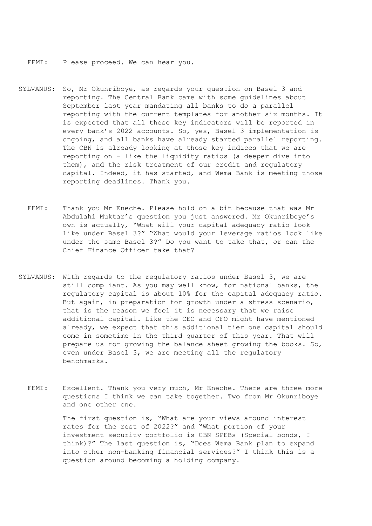FEMI: Please proceed. We can hear you.

- SYLVANUS: So, Mr Okunriboye, as regards your question on Basel 3 and reporting. The Central Bank came with some guidelines about September last year mandating all banks to do a parallel reporting with the current templates for another six months. It is expected that all these key indicators will be reported in every bank's 2022 accounts. So, yes, Basel 3 implementation is ongoing, and all banks have already started parallel reporting. The CBN is already looking at those key indices that we are reporting on - like the liquidity ratios (a deeper dive into them), and the risk treatment of our credit and regulatory capital. Indeed, it has started, and Wema Bank is meeting those reporting deadlines. Thank you.
	- FEMI: Thank you Mr Eneche. Please hold on a bit because that was Mr Abdulahi Muktar's question you just answered. Mr Okunriboye's own is actually, "What will your capital adequacy ratio look like under Basel 3?" "What would your leverage ratios look like under the same Basel 3?" Do you want to take that, or can the Chief Finance Officer take that?
- SYLVANUS: With regards to the regulatory ratios under Basel 3, we are still compliant. As you may well know, for national banks, the regulatory capital is about 10% for the capital adequacy ratio. But again, in preparation for growth under a stress scenario, that is the reason we feel it is necessary that we raise additional capital. Like the CEO and CFO might have mentioned already, we expect that this additional tier one capital should come in sometime in the third quarter of this year. That will prepare us for growing the balance sheet growing the books. So, even under Basel 3, we are meeting all the regulatory benchmarks.
	- FEMI: Excellent. Thank you very much, Mr Eneche. There are three more questions I think we can take together. Two from Mr Okunriboye and one other one.

The first question is, "What are your views around interest rates for the rest of 2022?" and "What portion of your investment security portfolio is CBN SPEBs (Special bonds, I think)?" The last question is, "Does Wema Bank plan to expand into other non-banking financial services?" I think this is a question around becoming a holding company.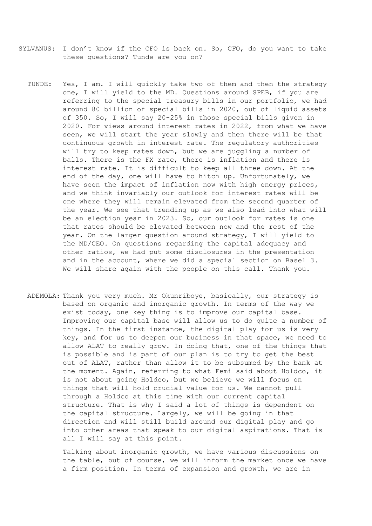- SYLVANUS: I don't know if the CFO is back on. So, CFO, do you want to take these questions? Tunde are you on?
	- TUNDE: Yes, I am. I will quickly take two of them and then the strategy one, I will yield to the MD. Questions around SPEB, if you are referring to the special treasury bills in our portfolio, we had around 80 billion of special bills in 2020, out of liquid assets of 350. So, I will say 20-25% in those special bills given in 2020. For views around interest rates in 2022, from what we have seen, we will start the year slowly and then there will be that continuous growth in interest rate. The regulatory authorities will try to keep rates down, but we are juggling a number of balls. There is the FX rate, there is inflation and there is interest rate. It is difficult to keep all three down. At the end of the day, one will have to hitch up. Unfortunately, we have seen the impact of inflation now with high energy prices, and we think invariably our outlook for interest rates will be one where they will remain elevated from the second quarter of the year. We see that trending up as we also lead into what will be an election year in 2023. So, our outlook for rates is one that rates should be elevated between now and the rest of the year. On the larger question around strategy, I will yield to the MD/CEO. On questions regarding the capital adequacy and other ratios, we had put some disclosures in the presentation and in the account, where we did a special section on Basel 3. We will share again with the people on this call. Thank you.
	- ADEMOLA: Thank you very much. Mr Okunriboye, basically, our strategy is based on organic and inorganic growth. In terms of the way we exist today, one key thing is to improve our capital base. Improving our capital base will allow us to do quite a number of things. In the first instance, the digital play for us is very key, and for us to deepen our business in that space, we need to allow ALAT to really grow. In doing that, one of the things that is possible and is part of our plan is to try to get the best out of ALAT, rather than allow it to be subsumed by the bank at the moment. Again, referring to what Femi said about Holdco, it is not about going Holdco, but we believe we will focus on things that will hold crucial value for us. We cannot pull through a Holdco at this time with our current capital structure. That is why I said a lot of things is dependent on the capital structure. Largely, we will be going in that direction and will still build around our digital play and go into other areas that speak to our digital aspirations. That is all I will say at this point.

Talking about inorganic growth, we have various discussions on the table, but of course, we will inform the market once we have a firm position. In terms of expansion and growth, we are in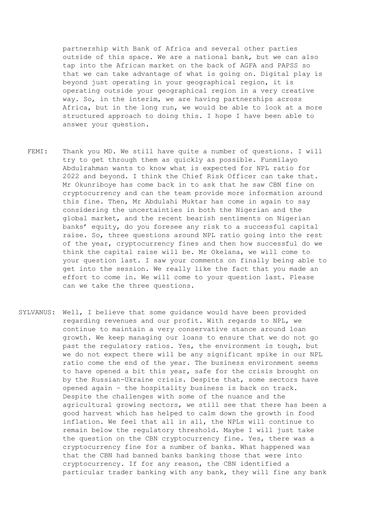partnership with Bank of Africa and several other parties outside of this space. We are a national bank, but we can also tap into the African market on the back of AGFA and PAPSS so that we can take advantage of what is going on. Digital play is beyond just operating in your geographical region, it is operating outside your geographical region in a very creative way. So, in the interim, we are having partnerships across Africa, but in the long run, we would be able to look at a more structured approach to doing this. I hope I have been able to answer your question.

- FEMI: Thank you MD. We still have quite a number of questions. I will try to get through them as quickly as possible. Funmilayo Abdulrahman wants to know what is expected for NPL ratio for 2022 and beyond. I think the Chief Risk Officer can take that. Mr Okunriboye has come back in to ask that he saw CBN fine on cryptocurrency and can the team provide more information around this fine. Then, Mr Abdulahi Muktar has come in again to say considering the uncertainties in both the Nigerian and the global market, and the recent bearish sentiments on Nigerian banks' equity, do you foresee any risk to a successful capital raise. So, three questions around NPL ratio going into the rest of the year, cryptocurrency fines and then how successful do we think the capital raise will be. Mr Okelana, we will come to your question last. I saw your comments on finally being able to get into the session. We really like the fact that you made an effort to come in. We will come to your question last. Please can we take the three questions.
- SYLVANUS: Well, I believe that some guidance would have been provided regarding revenues and our profit. With regards to NPL, we continue to maintain a very conservative stance around loan growth. We keep managing our loans to ensure that we do not go past the regulatory ratios. Yes, the environment is tough, but we do not expect there will be any significant spike in our NPL ratio come the end of the year. The business environment seems to have opened a bit this year, safe for the crisis brought on by the Russian-Ukraine crisis. Despite that, some sectors have opened again – the hospitality business is back on track. Despite the challenges with some of the nuance and the agricultural growing sectors, we still see that there has been a good harvest which has helped to calm down the growth in food inflation. We feel that all in all, the NPLs will continue to remain below the regulatory threshold. Maybe I will just take the question on the CBN cryptocurrency fine. Yes, there was a cryptocurrency fine for a number of banks. What happened was that the CBN had banned banks banking those that were into cryptocurrency. If for any reason, the CBN identified a particular trader banking with any bank, they will fine any bank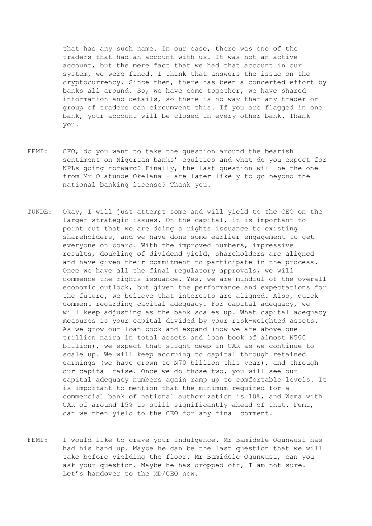that has any such name. In our case, there was one of the traders that had an account with us. It was not an active account, but the mere fact that we had that account in our system, we were fined. I think that answers the issue on the cryptocurrency. Since then, there has been a concerted effort by banks all around. So, we have come together, we have shared information and details, so there is no way that any trader or group of traders can circumvent this. If you are flagged in one bank, your account will be closed in every other bank. Thank you.

- FEMI: CFO, do you want to take the question around the bearish sentiment on Nigerian banks' equities and what do you expect for NPLs going forward? Finally, the last question will be the one from Mr Olatunde Okelana – are later likely to go beyond the national banking license? Thank you.
- TUNDE: Okay, I will just attempt some and will yield to the CEO on the larger strategic issues. On the capital, it is important to point out that we are doing a rights issuance to existing shareholders, and we have done some earlier engagement to get everyone on board. With the improved numbers, impressive results, doubling of dividend yield, shareholders are aligned and have given their commitment to participate in the process. Once we have all the final regulatory approvals, we will commence the rights issuance. Yes, we are mindful of the overall economic outlook, but given the performance and expectations for the future, we believe that interests are aligned. Also, quick comment regarding capital adequacy. For capital adequacy, we will keep adjusting as the bank scales up. What capital adequacy measures is your capital divided by your risk-weighted assets. As we grow our loan book and expand (now we are above one trillion naira in total assets and loan book of almost N500 billion), we expect that slight deep in CAR as we continue to scale up. We will keep accruing to capital through retained earnings (we have grown to N70 billion this year), and through our capital raise. Once we do those two, you will see our capital adequacy numbers again ramp up to comfortable levels. It is important to mention that the minimum required for a commercial bank of national authorization is 10%, and Wema with CAR of around 15% is still significantly ahead of that. Femi, can we then yield to the CEO for any final comment.
- FEMI: I would like to crave your indulgence. Mr Bamidele Ogunwusi has had his hand up. Maybe he can be the last question that we will take before yielding the floor. Mr Bamidele Ogunwusi, can you ask your question. Maybe he has dropped off, I am not sure. Let's handover to the MD/CEO now.